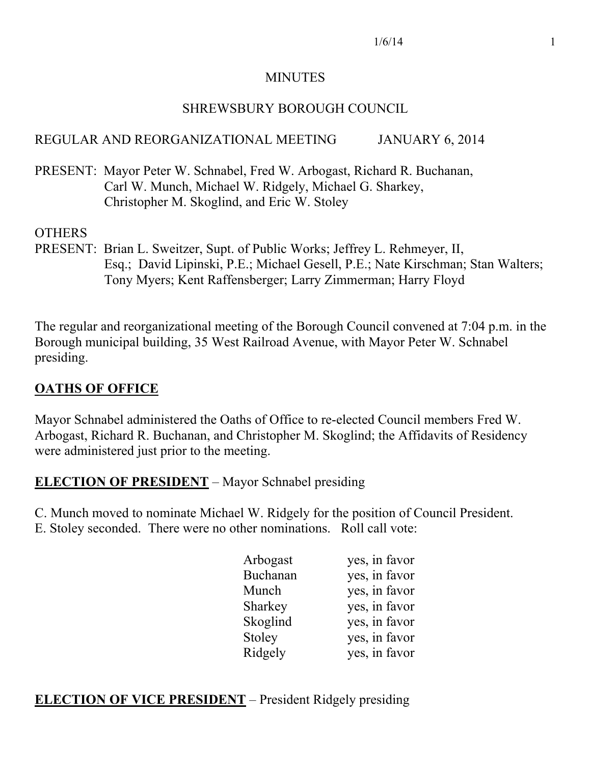#### MINUTES

#### SHREWSBURY BOROUGH COUNCIL

## REGULAR AND REORGANIZATIONAL MEETING JANUARY 6, 2014

PRESENT: Mayor Peter W. Schnabel, Fred W. Arbogast, Richard R. Buchanan, Carl W. Munch, Michael W. Ridgely, Michael G. Sharkey, Christopher M. Skoglind, and Eric W. Stoley

#### OTHERS

PRESENT: Brian L. Sweitzer, Supt. of Public Works; Jeffrey L. Rehmeyer, II, Esq.; David Lipinski, P.E.; Michael Gesell, P.E.; Nate Kirschman; Stan Walters; Tony Myers; Kent Raffensberger; Larry Zimmerman; Harry Floyd

The regular and reorganizational meeting of the Borough Council convened at 7:04 p.m. in the Borough municipal building, 35 West Railroad Avenue, with Mayor Peter W. Schnabel presiding.

## **OATHS OF OFFICE**

Mayor Schnabel administered the Oaths of Office to re-elected Council members Fred W. Arbogast, Richard R. Buchanan, and Christopher M. Skoglind; the Affidavits of Residency were administered just prior to the meeting.

## **ELECTION OF PRESIDENT** – Mayor Schnabel presiding

C. Munch moved to nominate Michael W. Ridgely for the position of Council President. E. Stoley seconded. There were no other nominations. Roll call vote:

|  | Arbogast | yes, in favor |
|--|----------|---------------|
|  | Buchanan | yes, in favor |
|  | Munch    | yes, in favor |
|  | Sharkey  | yes, in favor |
|  | Skoglind | yes, in favor |
|  | Stoley   | yes, in favor |
|  | Ridgely  | yes, in favor |
|  |          |               |

## **ELECTION OF VICE PRESIDENT** – President Ridgely presiding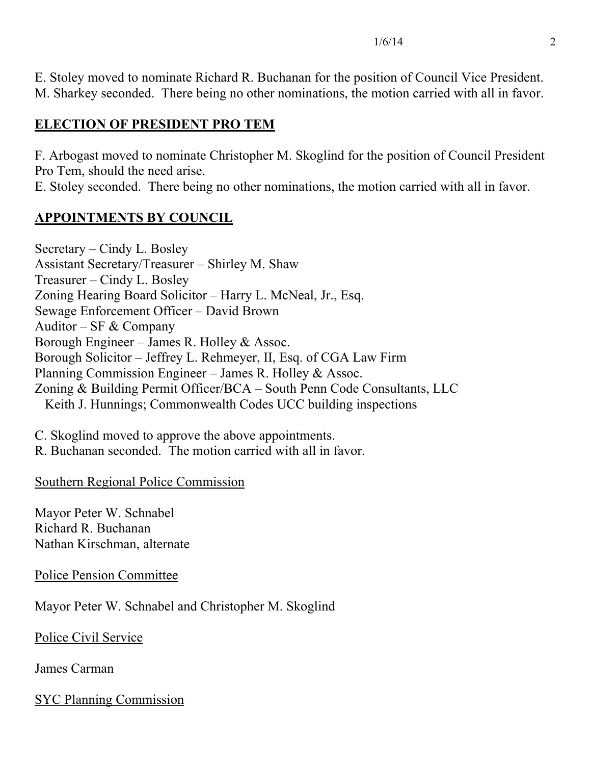E. Stoley moved to nominate Richard R. Buchanan for the position of Council Vice President. M. Sharkey seconded. There being no other nominations, the motion carried with all in favor.

# **ELECTION OF PRESIDENT PRO TEM**

F. Arbogast moved to nominate Christopher M. Skoglind for the position of Council President Pro Tem, should the need arise.

E. Stoley seconded. There being no other nominations, the motion carried with all in favor.

# **APPOINTMENTS BY COUNCIL**

Secretary – Cindy L. Bosley Assistant Secretary/Treasurer – Shirley M. Shaw Treasurer – Cindy L. Bosley Zoning Hearing Board Solicitor – Harry L. McNeal, Jr., Esq. Sewage Enforcement Officer – David Brown Auditor – SF  $&$  Company Borough Engineer – James R. Holley & Assoc. Borough Solicitor – Jeffrey L. Rehmeyer, II, Esq. of CGA Law Firm Planning Commission Engineer – James R. Holley & Assoc. Zoning & Building Permit Officer/BCA – South Penn Code Consultants, LLC Keith J. Hunnings; Commonwealth Codes UCC building inspections

C. Skoglind moved to approve the above appointments.

R. Buchanan seconded. The motion carried with all in favor.

Southern Regional Police Commission

Mayor Peter W. Schnabel Richard R. Buchanan Nathan Kirschman, alternate

Police Pension Committee

Mayor Peter W. Schnabel and Christopher M. Skoglind

Police Civil Service

James Carman

SYC Planning Commission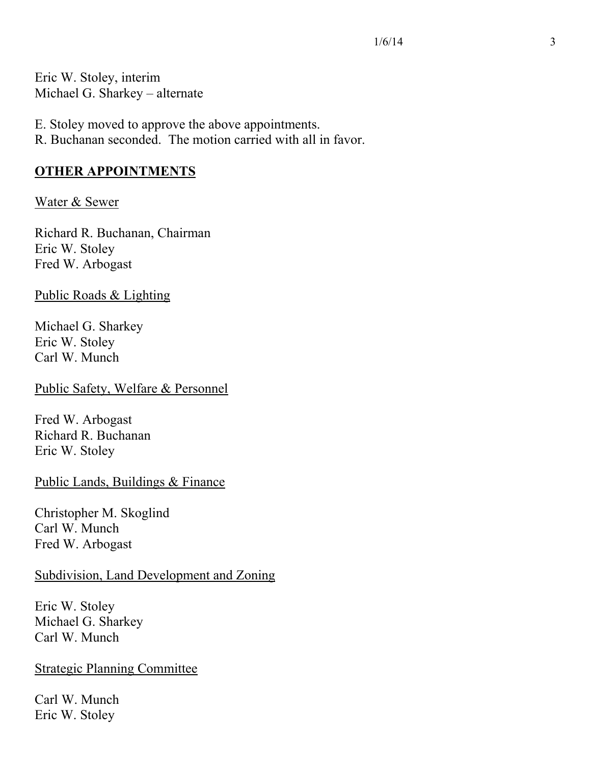Eric W. Stoley, interim Michael G. Sharkey – alternate

E. Stoley moved to approve the above appointments.

R. Buchanan seconded. The motion carried with all in favor.

## **OTHER APPOINTMENTS**

## Water & Sewer

Richard R. Buchanan, Chairman Eric W. Stoley Fred W. Arbogast

Public Roads & Lighting

Michael G. Sharkey Eric W. Stoley Carl W. Munch

Public Safety, Welfare & Personnel

Fred W. Arbogast Richard R. Buchanan Eric W. Stoley

Public Lands, Buildings & Finance

Christopher M. Skoglind Carl W. Munch Fred W. Arbogast

## Subdivision, Land Development and Zoning

Eric W. Stoley Michael G. Sharkey Carl W. Munch

Strategic Planning Committee

Carl W. Munch Eric W. Stoley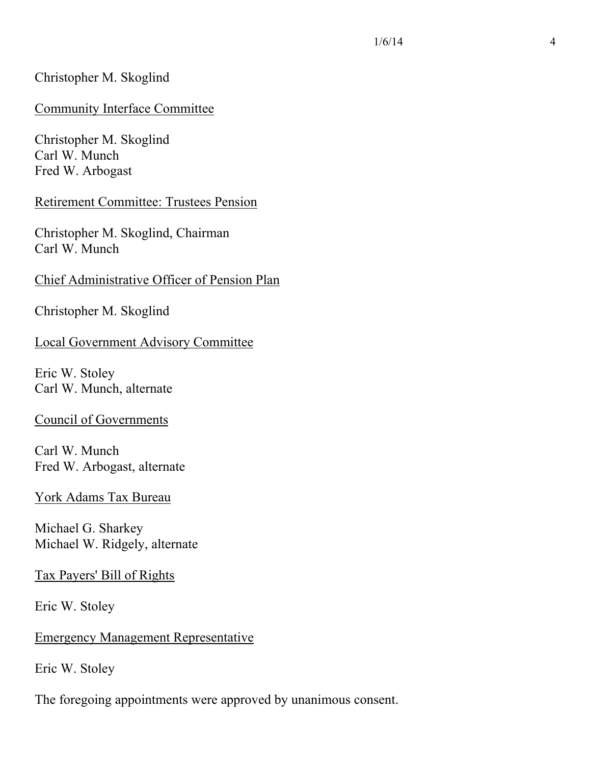#### Christopher M. Skoglind

#### Community Interface Committee

Christopher M. Skoglind Carl W. Munch Fred W. Arbogast

#### Retirement Committee: Trustees Pension

Christopher M. Skoglind, Chairman Carl W. Munch

#### Chief Administrative Officer of Pension Plan

Christopher M. Skoglind

#### Local Government Advisory Committee

Eric W. Stoley Carl W. Munch, alternate

#### Council of Governments

Carl W. Munch Fred W. Arbogast, alternate

#### York Adams Tax Bureau

Michael G. Sharkey Michael W. Ridgely, alternate

Tax Payers' Bill of Rights

Eric W. Stoley

#### Emergency Management Representative

Eric W. Stoley

The foregoing appointments were approved by unanimous consent.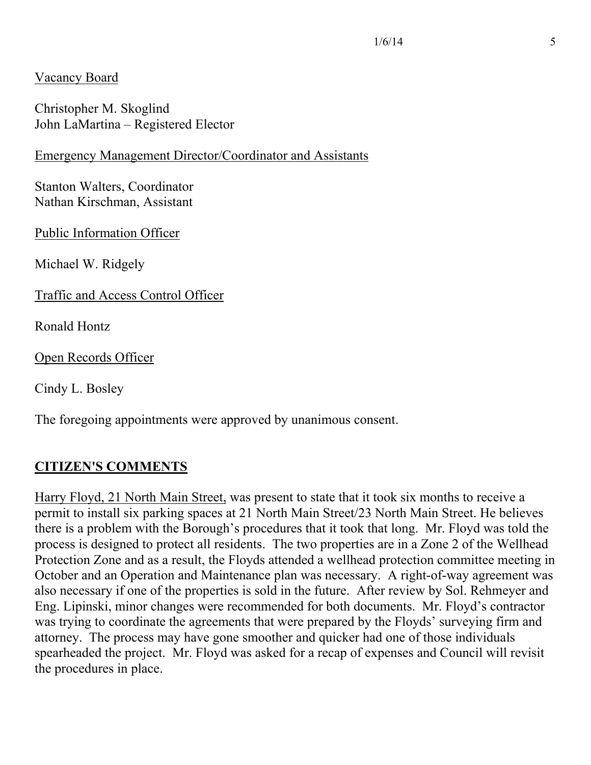## Vacancy Board

Christopher M. Skoglind John LaMartina – Registered Elector

#### Emergency Management Director/Coordinator and Assistants

Stanton Walters, Coordinator Nathan Kirschman, Assistant

Public Information Officer

Michael W. Ridgely

Traffic and Access Control Officer

Ronald Hontz

Open Records Officer

Cindy L. Bosley

The foregoing appointments were approved by unanimous consent.

## **CITIZEN'S COMMENTS**

Harry Floyd, 21 North Main Street, was present to state that it took six months to receive a permit to install six parking spaces at 21 North Main Street/23 North Main Street. He believes there is a problem with the Borough's procedures that it took that long. Mr. Floyd was told the process is designed to protect all residents. The two properties are in a Zone 2 of the Wellhead Protection Zone and as a result, the Floyds attended a wellhead protection committee meeting in October and an Operation and Maintenance plan was necessary. A right-of-way agreement was also necessary if one of the properties is sold in the future. After review by Sol. Rehmeyer and Eng. Lipinski, minor changes were recommended for both documents. Mr. Floyd's contractor was trying to coordinate the agreements that were prepared by the Floyds' surveying firm and attorney. The process may have gone smoother and quicker had one of those individuals spearheaded the project. Mr. Floyd was asked for a recap of expenses and Council will revisit the procedures in place.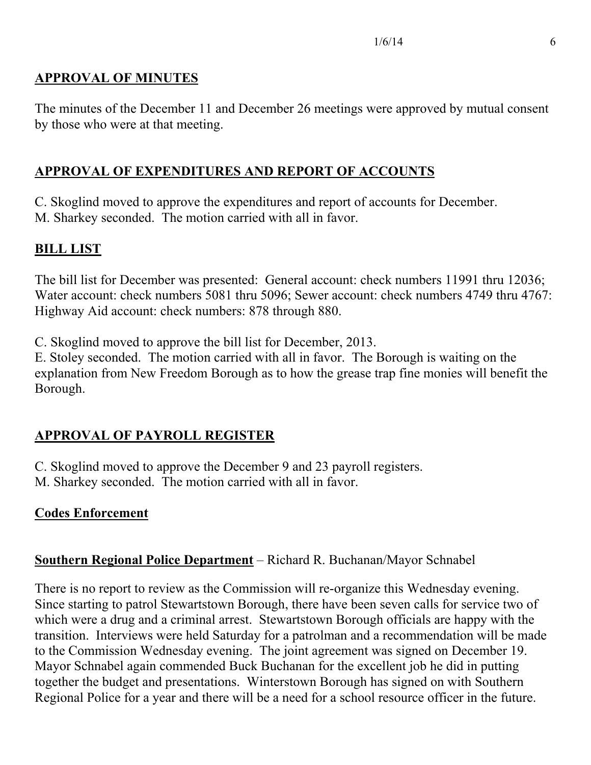## **APPROVAL OF MINUTES**

The minutes of the December 11 and December 26 meetings were approved by mutual consent by those who were at that meeting.

# **APPROVAL OF EXPENDITURES AND REPORT OF ACCOUNTS**

C. Skoglind moved to approve the expenditures and report of accounts for December. M. Sharkey seconded. The motion carried with all in favor.

# **BILL LIST**

The bill list for December was presented: General account: check numbers 11991 thru 12036; Water account: check numbers 5081 thru 5096; Sewer account: check numbers 4749 thru 4767: Highway Aid account: check numbers: 878 through 880.

C. Skoglind moved to approve the bill list for December, 2013.

E. Stoley seconded. The motion carried with all in favor. The Borough is waiting on the explanation from New Freedom Borough as to how the grease trap fine monies will benefit the Borough.

# **APPROVAL OF PAYROLL REGISTER**

C. Skoglind moved to approve the December 9 and 23 payroll registers. M. Sharkey seconded. The motion carried with all in favor.

## **Codes Enforcement**

# **Southern Regional Police Department** – Richard R. Buchanan/Mayor Schnabel

There is no report to review as the Commission will re-organize this Wednesday evening. Since starting to patrol Stewartstown Borough, there have been seven calls for service two of which were a drug and a criminal arrest. Stewartstown Borough officials are happy with the transition. Interviews were held Saturday for a patrolman and a recommendation will be made to the Commission Wednesday evening. The joint agreement was signed on December 19. Mayor Schnabel again commended Buck Buchanan for the excellent job he did in putting together the budget and presentations. Winterstown Borough has signed on with Southern Regional Police for a year and there will be a need for a school resource officer in the future.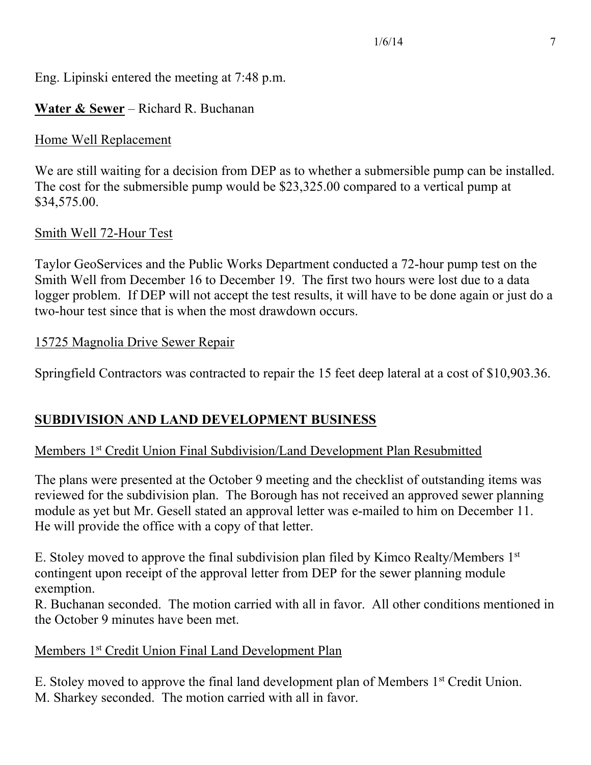Eng. Lipinski entered the meeting at 7:48 p.m.

## **Water & Sewer** – Richard R. Buchanan

#### Home Well Replacement

We are still waiting for a decision from DEP as to whether a submersible pump can be installed. The cost for the submersible pump would be \$23,325.00 compared to a vertical pump at \$34,575.00.

## Smith Well 72-Hour Test

Taylor GeoServices and the Public Works Department conducted a 72-hour pump test on the Smith Well from December 16 to December 19. The first two hours were lost due to a data logger problem. If DEP will not accept the test results, it will have to be done again or just do a two-hour test since that is when the most drawdown occurs.

#### 15725 Magnolia Drive Sewer Repair

Springfield Contractors was contracted to repair the 15 feet deep lateral at a cost of \$10,903.36.

# **SUBDIVISION AND LAND DEVELOPMENT BUSINESS**

## Members 1st Credit Union Final Subdivision/Land Development Plan Resubmitted

The plans were presented at the October 9 meeting and the checklist of outstanding items was reviewed for the subdivision plan. The Borough has not received an approved sewer planning module as yet but Mr. Gesell stated an approval letter was e-mailed to him on December 11. He will provide the office with a copy of that letter.

E. Stoley moved to approve the final subdivision plan filed by Kimco Realty/Members 1st contingent upon receipt of the approval letter from DEP for the sewer planning module exemption.

R. Buchanan seconded. The motion carried with all in favor. All other conditions mentioned in the October 9 minutes have been met.

## Members 1<sup>st</sup> Credit Union Final Land Development Plan

E. Stoley moved to approve the final land development plan of Members 1st Credit Union. M. Sharkey seconded. The motion carried with all in favor.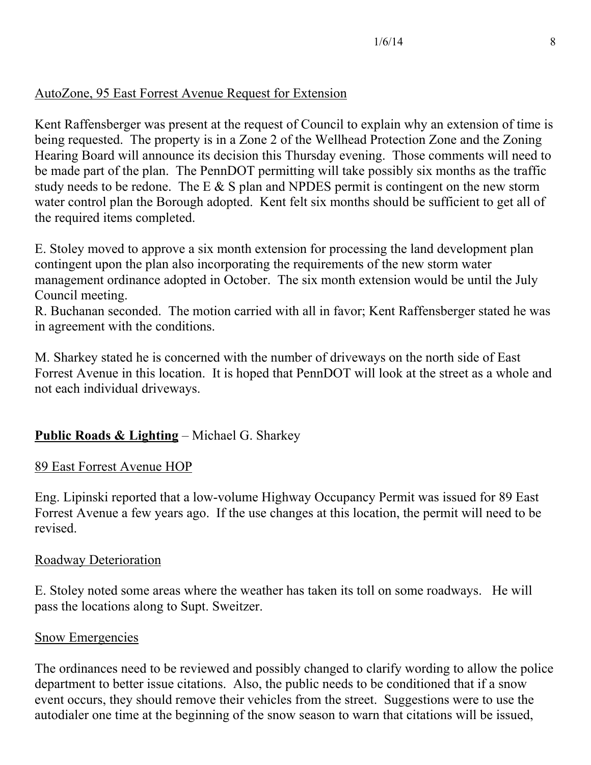## AutoZone, 95 East Forrest Avenue Request for Extension

Kent Raffensberger was present at the request of Council to explain why an extension of time is being requested. The property is in a Zone 2 of the Wellhead Protection Zone and the Zoning Hearing Board will announce its decision this Thursday evening. Those comments will need to be made part of the plan. The PennDOT permitting will take possibly six months as the traffic study needs to be redone. The E  $\&$  S plan and NPDES permit is contingent on the new storm water control plan the Borough adopted. Kent felt six months should be sufficient to get all of the required items completed.

E. Stoley moved to approve a six month extension for processing the land development plan contingent upon the plan also incorporating the requirements of the new storm water management ordinance adopted in October. The six month extension would be until the July Council meeting.

R. Buchanan seconded. The motion carried with all in favor; Kent Raffensberger stated he was in agreement with the conditions.

M. Sharkey stated he is concerned with the number of driveways on the north side of East Forrest Avenue in this location. It is hoped that PennDOT will look at the street as a whole and not each individual driveways.

# **Public Roads & Lighting** – Michael G. Sharkey

## 89 East Forrest Avenue HOP

Eng. Lipinski reported that a low-volume Highway Occupancy Permit was issued for 89 East Forrest Avenue a few years ago. If the use changes at this location, the permit will need to be revised.

## Roadway Deterioration

E. Stoley noted some areas where the weather has taken its toll on some roadways. He will pass the locations along to Supt. Sweitzer.

#### Snow Emergencies

The ordinances need to be reviewed and possibly changed to clarify wording to allow the police department to better issue citations. Also, the public needs to be conditioned that if a snow event occurs, they should remove their vehicles from the street. Suggestions were to use the autodialer one time at the beginning of the snow season to warn that citations will be issued,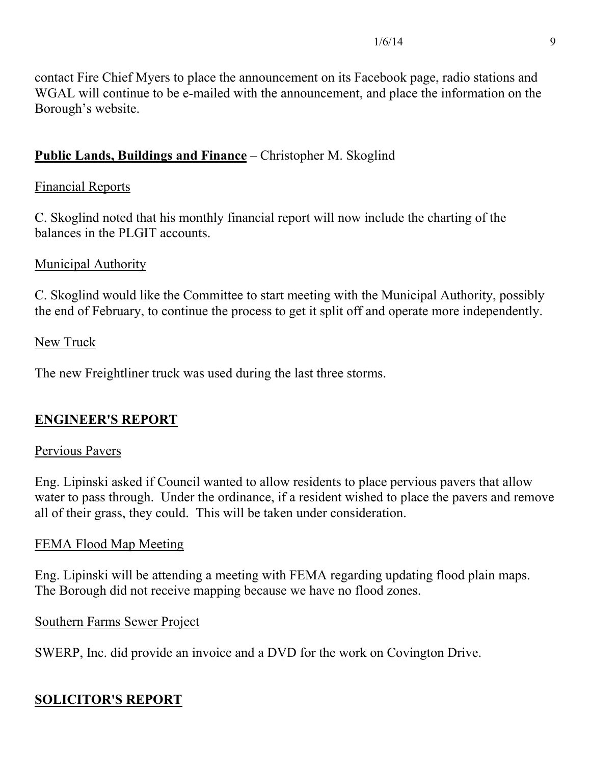contact Fire Chief Myers to place the announcement on its Facebook page, radio stations and WGAL will continue to be e-mailed with the announcement, and place the information on the Borough's website.

# **Public Lands, Buildings and Finance** – Christopher M. Skoglind

## Financial Reports

C. Skoglind noted that his monthly financial report will now include the charting of the balances in the PLGIT accounts.

## Municipal Authority

C. Skoglind would like the Committee to start meeting with the Municipal Authority, possibly the end of February, to continue the process to get it split off and operate more independently.

## New Truck

The new Freightliner truck was used during the last three storms.

## **ENGINEER'S REPORT**

## Pervious Pavers

Eng. Lipinski asked if Council wanted to allow residents to place pervious pavers that allow water to pass through. Under the ordinance, if a resident wished to place the pavers and remove all of their grass, they could. This will be taken under consideration.

## FEMA Flood Map Meeting

Eng. Lipinski will be attending a meeting with FEMA regarding updating flood plain maps. The Borough did not receive mapping because we have no flood zones.

## Southern Farms Sewer Project

SWERP, Inc. did provide an invoice and a DVD for the work on Covington Drive.

# **SOLICITOR'S REPORT**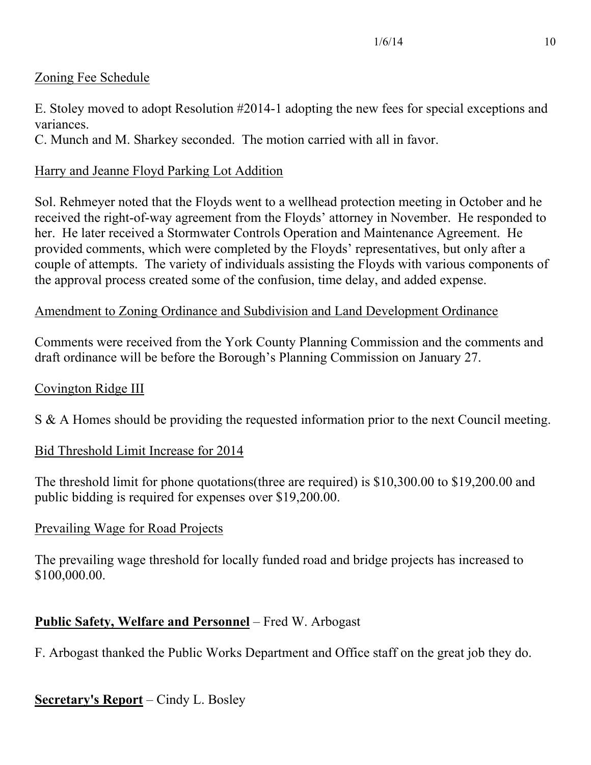## Zoning Fee Schedule

E. Stoley moved to adopt Resolution #2014-1 adopting the new fees for special exceptions and variances.

C. Munch and M. Sharkey seconded. The motion carried with all in favor.

## Harry and Jeanne Floyd Parking Lot Addition

Sol. Rehmeyer noted that the Floyds went to a wellhead protection meeting in October and he received the right-of-way agreement from the Floyds' attorney in November. He responded to her. He later received a Stormwater Controls Operation and Maintenance Agreement. He provided comments, which were completed by the Floyds' representatives, but only after a couple of attempts. The variety of individuals assisting the Floyds with various components of the approval process created some of the confusion, time delay, and added expense.

## Amendment to Zoning Ordinance and Subdivision and Land Development Ordinance

Comments were received from the York County Planning Commission and the comments and draft ordinance will be before the Borough's Planning Commission on January 27.

## Covington Ridge III

S & A Homes should be providing the requested information prior to the next Council meeting.

## Bid Threshold Limit Increase for 2014

The threshold limit for phone quotations(three are required) is \$10,300.00 to \$19,200.00 and public bidding is required for expenses over \$19,200.00.

## Prevailing Wage for Road Projects

The prevailing wage threshold for locally funded road and bridge projects has increased to \$100,000.00.

# **Public Safety, Welfare and Personnel** – Fred W. Arbogast

F. Arbogast thanked the Public Works Department and Office staff on the great job they do.

# **Secretary's Report** – Cindy L. Bosley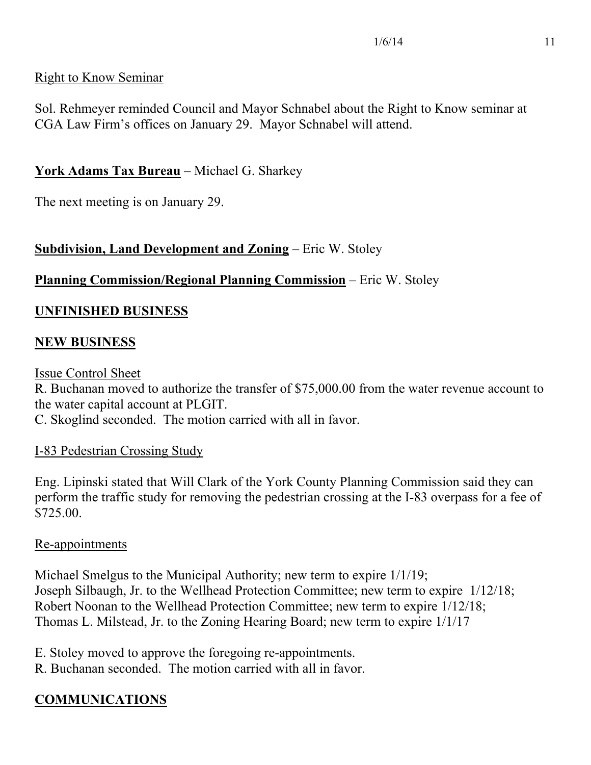## Right to Know Seminar

Sol. Rehmeyer reminded Council and Mayor Schnabel about the Right to Know seminar at CGA Law Firm's offices on January 29. Mayor Schnabel will attend.

## **York Adams Tax Bureau** – Michael G. Sharkey

The next meeting is on January 29.

## **Subdivision, Land Development and Zoning** – Eric W. Stoley

#### **Planning Commission/Regional Planning Commission** – Eric W. Stoley

#### **UNFINISHED BUSINESS**

## **NEW BUSINESS**

Issue Control Sheet

R. Buchanan moved to authorize the transfer of \$75,000.00 from the water revenue account to the water capital account at PLGIT.

C. Skoglind seconded. The motion carried with all in favor.

#### I-83 Pedestrian Crossing Study

Eng. Lipinski stated that Will Clark of the York County Planning Commission said they can perform the traffic study for removing the pedestrian crossing at the I-83 overpass for a fee of \$725.00.

#### Re-appointments

Michael Smelgus to the Municipal Authority; new term to expire 1/1/19; Joseph Silbaugh, Jr. to the Wellhead Protection Committee; new term to expire 1/12/18; Robert Noonan to the Wellhead Protection Committee; new term to expire 1/12/18; Thomas L. Milstead, Jr. to the Zoning Hearing Board; new term to expire 1/1/17

- E. Stoley moved to approve the foregoing re-appointments.
- R. Buchanan seconded. The motion carried with all in favor.

# **COMMUNICATIONS**